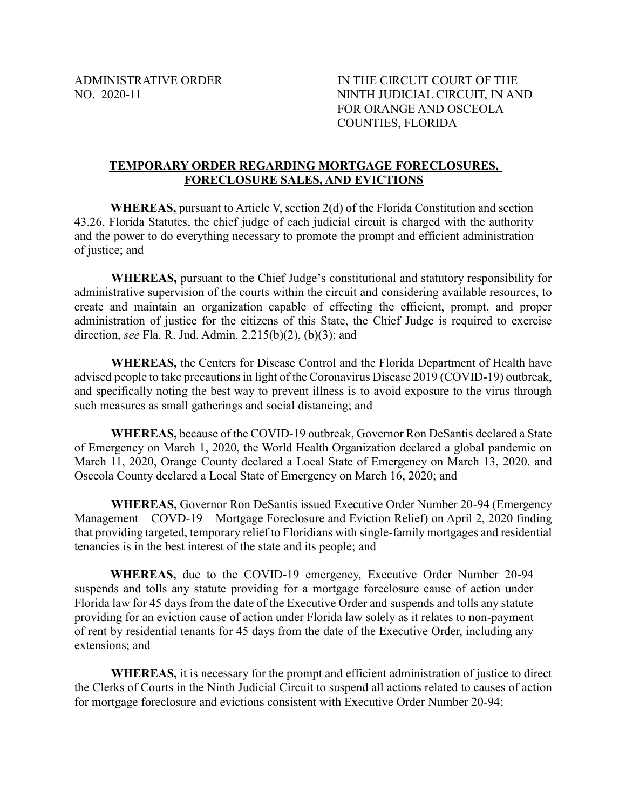ADMINISTRATIVE ORDER IN THE CIRCUIT COURT OF THE NO. 2020-11 NINTH JUDICIAL CIRCUIT, IN AND FOR ORANGE AND OSCEOLA COUNTIES, FLORIDA

## **TEMPORARY ORDER REGARDING MORTGAGE FORECLOSURES, FORECLOSURE SALES, AND EVICTIONS**

**WHEREAS,** pursuant to Article V, section 2(d) of the Florida Constitution and section 43.26, Florida Statutes, the chief judge of each judicial circuit is charged with the authority and the power to do everything necessary to promote the prompt and efficient administration of justice; and

**WHEREAS,** pursuant to the Chief Judge's constitutional and statutory responsibility for administrative supervision of the courts within the circuit and considering available resources, to create and maintain an organization capable of effecting the efficient, prompt, and proper administration of justice for the citizens of this State, the Chief Judge is required to exercise direction, *see* Fla. R. Jud. Admin. 2.215(b)(2), (b)(3); and

**WHEREAS,** the Centers for Disease Control and the Florida Department of Health have advised people to take precautions in light of the Coronavirus Disease 2019 (COVID-19) outbreak, and specifically noting the best way to prevent illness is to avoid exposure to the virus through such measures as small gatherings and social distancing; and

**WHEREAS,** because of the COVID-19 outbreak, Governor Ron DeSantis declared a State of Emergency on March 1, 2020, the World Health Organization declared a global pandemic on March 11, 2020, Orange County declared a Local State of Emergency on March 13, 2020, and Osceola County declared a Local State of Emergency on March 16, 2020; and

**WHEREAS,** Governor Ron DeSantis issued Executive Order Number 20-94 (Emergency Management – COVD-19 – Mortgage Foreclosure and Eviction Relief) on April 2, 2020 finding that providing targeted, temporary relief to Floridians with single-family mortgages and residential tenancies is in the best interest of the state and its people; and

**WHEREAS,** due to the COVID-19 emergency, Executive Order Number 20-94 suspends and tolls any statute providing for a mortgage foreclosure cause of action under Florida law for 45 days from the date of the Executive Order and suspends and tolls any statute providing for an eviction cause of action under Florida law solely as it relates to non-payment of rent by residential tenants for 45 days from the date of the Executive Order, including any extensions; and

**WHEREAS,** it is necessary for the prompt and efficient administration of justice to direct the Clerks of Courts in the Ninth Judicial Circuit to suspend all actions related to causes of action for mortgage foreclosure and evictions consistent with Executive Order Number 20-94;